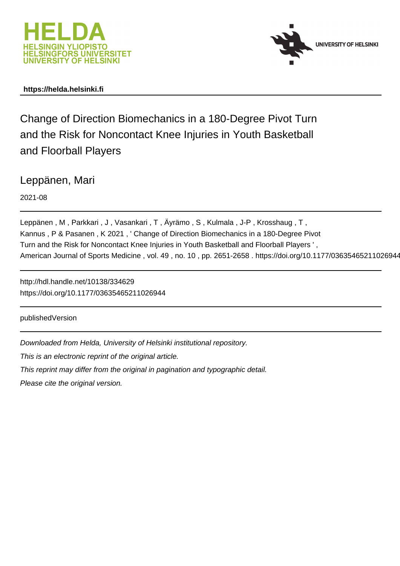



# **https://helda.helsinki.fi**

Change of Direction Biomechanics in a 180-Degree Pivot Turn and the Risk for Noncontact Knee Injuries in Youth Basketball and Floorball Players

Leppänen, Mari

2021-08

Leppänen , M , Parkkari , J , Vasankari , T , Äyrämo , S , Kulmala , J-P , Krosshaug , T , Kannus , P & Pasanen , K 2021 , ' Change of Direction Biomechanics in a 180-Degree Pivot Turn and the Risk for Noncontact Knee Injuries in Youth Basketball and Floorball Players ' , American Journal of Sports Medicine , vol. 49 , no. 10 , pp. 2651-2658 . https://doi.org/10.1177/03635465211026944

http://hdl.handle.net/10138/334629 https://doi.org/10.1177/03635465211026944

publishedVersion

Downloaded from Helda, University of Helsinki institutional repository.

This is an electronic reprint of the original article.

This reprint may differ from the original in pagination and typographic detail.

Please cite the original version.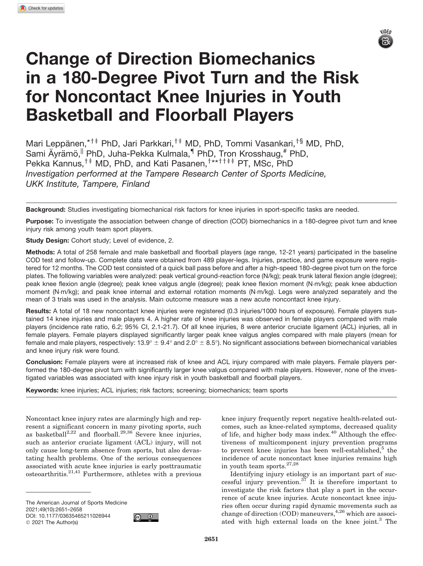

# Change of Direction Biomechanics in a 180-Degree Pivot Turn and the Risk for Noncontact Knee Injuries in Youth Basketball and Floorball Players

Mari Leppänen,\*<sup>†‡</sup> PhD, Jari Parkkari,<sup>†‡</sup> MD, PhD, Tommi Vasankari,<sup>†§</sup> MD, PhD, Sami Äyrämö,<sup>||</sup> PhD, Juha-Pekka Kulmala,<sup>¶</sup> PhD, Tron Krosshaug,<sup>#</sup> PhD, Pekka Kannus,<sup>†‡</sup> MD, PhD, and Kati Pasanen,<sup>†\*\*††‡‡</sup> PT, MSc, PhD *Investigation performed at the Tampere Research Center of Sports Medicine, UKK Institute, Tampere, Finland*

Background: Studies investigating biomechanical risk factors for knee injuries in sport-specific tasks are needed.

Purpose: To investigate the association between change of direction (COD) biomechanics in a 180-degree pivot turn and knee injury risk among youth team sport players.

Study Design: Cohort study; Level of evidence, 2.

Methods: A total of 258 female and male basketball and floorball players (age range, 12-21 years) participated in the baseline COD test and follow-up. Complete data were obtained from 489 player-legs. Injuries, practice, and game exposure were registered for 12 months. The COD test consisted of a quick ball pass before and after a high-speed 180-degree pivot turn on the force plates. The following variables were analyzed: peak vertical ground-reaction force (N/kg); peak trunk lateral flexion angle (degree); peak knee flexion angle (degree); peak knee valgus angle (degree); peak knee flexion moment (N-m/kg); peak knee abduction moment (N-m/kg); and peak knee internal and external rotation moments (N-m/kg). Legs were analyzed separately and the mean of 3 trials was used in the analysis. Main outcome measure was a new acute noncontact knee injury.

Results: A total of 18 new noncontact knee injuries were registered (0.3 injuries/1000 hours of exposure). Female players sustained 14 knee injuries and male players 4. A higher rate of knee injuries was observed in female players compared with male players (incidence rate ratio, 6.2; 95% CI, 2.1-21.7). Of all knee injuries, 8 were anterior cruciate ligament (ACL) injuries, all in female players. Female players displayed significantly larger peak knee valgus angles compared with male players (mean for female and male players, respectively: 13.9°  $\pm$  9.4° and 2.0°  $\pm$  8.5°). No significant associations between biomechanical variables and knee injury risk were found.

Conclusion: Female players were at increased risk of knee and ACL injury compared with male players. Female players performed the 180-degree pivot turn with significantly larger knee valgus compared with male players. However, none of the investigated variables was associated with knee injury risk in youth basketball and floorball players.

Keywords: knee injuries; ACL injuries; risk factors; screening; biomechanics; team sports

Noncontact knee injury rates are alarmingly high and represent a significant concern in many pivoting sports, such as basketball<sup>2,22</sup> and floorball.<sup>29,36</sup> Severe knee injuries, such as anterior cruciate ligament (ACL) injury, will not only cause long-term absence from sports, but also devastating health problems. One of the serious consequences associated with acute knee injuries is early posttraumatic osteoarthritis. $21,41$  Furthermore, athletes with a previous

The American Journal of Sports Medicine 2021;49(10):2651–2658 DOI: 10.1177/03635465211026944 2021 The Author(s)



knee injury frequently report negative health-related outcomes, such as knee-related symptoms, decreased quality of life, and higher body mass index.<sup>40</sup> Although the effectiveness of multicomponent injury prevention programs to prevent knee injuries has been well-established, $5$  the incidence of acute noncontact knee injuries remains high in youth team sports.  $\!\!^{27,28}$ 

Identifying injury etiology is an important part of successful injury prevention. $37$  It is therefore important to investigate the risk factors that play a part in the occurrence of acute knee injuries. Acute noncontact knee injuries often occur during rapid dynamic movements such as change of direction (COD) maneuvers,<sup>4,26</sup> which are associated with high external loads on the knee joint.<sup>3</sup> The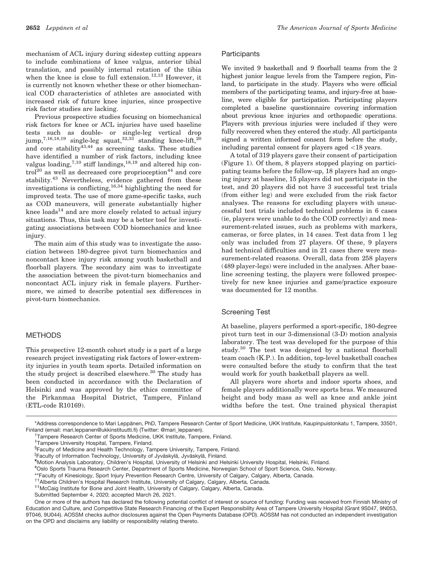mechanism of ACL injury during sidestep cutting appears to include combinations of knee valgus, anterior tibial translation, and possibly internal rotation of the tibia when the knee is close to full extension.<sup>12,13</sup> However, it is currently not known whether these or other biomechanical COD characteristics of athletes are associated with increased risk of future knee injuries, since prospective risk factor studies are lacking.

Previous prospective studies focusing on biomechanical risk factors for knee or ACL injuries have used baseline tests such as double- or single-leg vertical drop jump,<sup>7,16,18,19</sup> single-leg squat,<sup>32,33</sup> standing knee-lift,<sup>20</sup> and core stability  $43,44$  as screening tasks. These studies have identified a number of risk factors, including knee valgus loading,  $7,10$  stiff landings,  $^{18,19}$  and altered hip con- $\text{trol}^{20}$  as well as decreased core proprioception<sup>44</sup> and core stability.<sup>43</sup> Nevertheless, evidence gathered from these investigations is conflicting,  $^{16,34}$  highlighting the need for improved tests. The use of more game-specific tasks, such as COD maneuvers, will generate substantially higher knee loads $14$  and are more closely related to actual injury situations. Thus, this task may be a better tool for investigating associations between COD biomechanics and knee injury.

The main aim of this study was to investigate the association between 180-degree pivot turn biomechanics and noncontact knee injury risk among youth basketball and floorball players. The secondary aim was to investigate the association between the pivot-turn biomechanics and noncontact ACL injury risk in female players. Furthermore, we aimed to describe potential sex differences in pivot-turn biomechanics.

## METHODS

This prospective 12-month cohort study is a part of a large research project investigating risk factors of lower-extremity injuries in youth team sports. Detailed information on the study project is described elsewhere.<sup>30</sup> The study has been conducted in accordance with the Declaration of Helsinki and was approved by the ethics committee of the Pirkanmaa Hospital District, Tampere, Finland (ETL-code R10169).

# **Participants**

We invited 9 basketball and 9 floorball teams from the 2 highest junior league levels from the Tampere region, Finland, to participate in the study. Players who were official members of the participating teams, and injury-free at baseline, were eligible for participation. Participating players completed a baseline questionnaire covering information about previous knee injuries and orthopaedic operations. Players with previous injuries were included if they were fully recovered when they entered the study. All participants signed a written informed consent form before the study, including parental consent for players aged \18 years.

A total of 319 players gave their consent of participation (Figure 1). Of them, 8 players stopped playing on participating teams before the follow-up, 18 players had an ongoing injury at baseline, 15 players did not participate in the test, and 20 players did not have 3 successful test trials (from either leg) and were excluded from the risk factor analyses. The reasons for excluding players with unsuccessful test trials included technical problems in 6 cases (ie, players were unable to do the COD correctly) and measurement-related issues, such as problems with markers, cameras, or force plates, in 14 cases. Test data from 1 leg only was included from 27 players. Of these, 9 players had technical difficulties and in 21 cases there were measurement-related reasons. Overall, data from 258 players (489 player-legs) were included in the analyses. After baseline screening testing, the players were followed prospectively for new knee injuries and game/practice exposure was documented for 12 months.

## Screening Test

At baseline, players performed a sport-specific, 180-degree pivot turn test in our 3-dimensional (3-D) motion analysis laboratory. The test was developed for the purpose of this study.<sup>30</sup> The test was designed by a national floorball team coach (K.P.). In addition, top-level basketball coaches were consulted before the study to confirm that the test would work for youth basketball players as well.

All players wore shorts and indoor sports shoes, and female players additionally wore sports bras. We measured height and body mass as well as knee and ankle joint widths before the test. One trained physical therapist

\*Address correspondence to Mari Leppänen, PhD, Tampere Research Center of Sport Medicine, UKK Institute, Kaupinpuistonkatu 1, Tampere, 33501, Finland (email: mari.leppanen@ukkinstituutti.fi) (Twitter: @mari\_leppanen).

Tampere Research Center of Sports Medicine, UKK Institute, Tampere, Finland.

<sup>&</sup>lt;sup>‡</sup>Tampere University Hospital, Tampere, Finland.

<sup>§</sup> Faculty of Medicine and Health Technology, Tampere University, Tampere, Finland.

<sup>&</sup>lt;sup>||</sup>Faculty of Information Technology, University of Jyväskylä, Jyväskylä, Finland.

Motion Analysis Laboratory, Children's Hospital, University of Helsinki and Helsinki University Hospital, Helsinki, Finland.

<sup>#</sup> Oslo Sports Trauma Research Center, Department of Sports Medicine, Norwegian School of Sport Science, Oslo, Norway.

<sup>\*\*</sup>Faculty of Kinesiology, Sport Injury Prevention Research Centre, University of Calgary, Calgary, Alberta, Canada.<br><sup>††</sup>Alberta Children's Hospital Research Institute, University of Calgary, Calgary, Alberta, Canada.<br><sup>‡‡</sup>M

Submitted September 4, 2020; accepted March 26, 2021.

One or more of the authors has declared the following potential conflict of interest or source of funding: Funding was received from Finnish Ministry of Education and Culture, and Competitive State Research Financing of the Expert Responsibility Area of Tampere University Hospital (Grant 9S047, 9N053, 9T046, 9U044). AOSSM checks author disclosures against the Open Payments Database (OPD). AOSSM has not conducted an independent investigation on the OPD and disclaims any liability or responsibility relating thereto.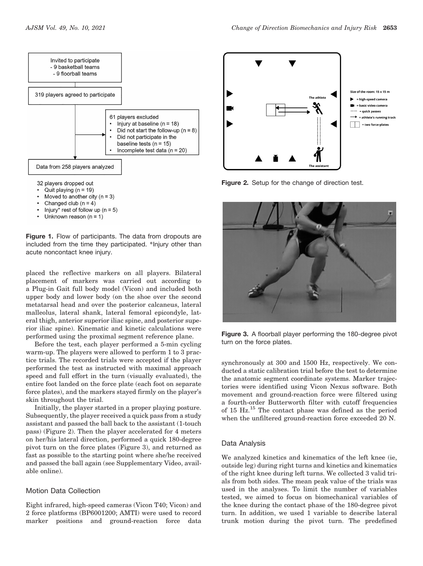

- Quit playing  $(n = 19)$
- Moved to another city  $(n = 3)$
- Changed club  $(n = 4)$
- Injury\* rest of follow up ( $n = 5$ )
- Unknown reason  $(n = 1)$

Figure 1. Flow of participants. The data from dropouts are included from the time they participated. \*Injury other than acute noncontact knee injury.

placed the reflective markers on all players. Bilateral placement of markers was carried out according to a Plug-in Gait full body model (Vicon) and included both upper body and lower body (on the shoe over the second metatarsal head and over the posterior calcaneus, lateral malleolus, lateral shank, lateral femoral epicondyle, lateral thigh, anterior superior iliac spine, and posterior superior iliac spine). Kinematic and kinetic calculations were performed using the proximal segment reference plane.

Before the test, each player performed a 5-min cycling warm-up. The players were allowed to perform 1 to 3 practice trials. The recorded trials were accepted if the player performed the test as instructed with maximal approach speed and full effort in the turn (visually evaluated), the entire foot landed on the force plate (each foot on separate force plates), and the markers stayed firmly on the player's skin throughout the trial.

Initially, the player started in a proper playing posture. Subsequently, the player received a quick pass from a study assistant and passed the ball back to the assistant (1-touch pass) (Figure 2). Then the player accelerated for 4 meters on her/his lateral direction, performed a quick 180-degree pivot turn on the force plates (Figure 3), and returned as fast as possible to the starting point where she/he received and passed the ball again (see Supplementary Video, available online).

# Motion Data Collection

Eight infrared, high-speed cameras (Vicon T40; Vicon) and 2 force platforms (BP6001200; AMTI) were used to record marker positions and ground-reaction force data



Figure 2. Setup for the change of direction test.



Figure 3. A floorball player performing the 180-degree pivot turn on the force plates.

synchronously at 300 and 1500 Hz, respectively. We conducted a static calibration trial before the test to determine the anatomic segment coordinate systems. Marker trajectories were identified using Vicon Nexus software. Both movement and ground-reaction force were filtered using a fourth-order Butterworth filter with cutoff frequencies of 15 Hz.<sup>15</sup> The contact phase was defined as the period when the unfiltered ground-reaction force exceeded 20 N.

#### Data Analysis

We analyzed kinetics and kinematics of the left knee (ie, outside leg) during right turns and kinetics and kinematics of the right knee during left turns. We collected 3 valid trials from both sides. The mean peak value of the trials was used in the analyses. To limit the number of variables tested, we aimed to focus on biomechanical variables of the knee during the contact phase of the 180-degree pivot turn. In addition, we used 1 variable to describe lateral trunk motion during the pivot turn. The predefined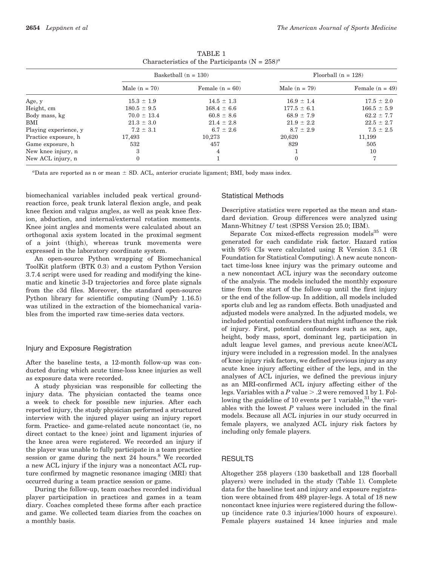|                       |                  | Basketball $(n = 130)$ | Floorball $(n = 128)$ |                   |  |  |  |
|-----------------------|------------------|------------------------|-----------------------|-------------------|--|--|--|
|                       | Male $(n = 70)$  | Female $(n = 60)$      | Male $(n = 79)$       | Female $(n = 49)$ |  |  |  |
| Age, y                | $15.3 \pm 1.9$   | $14.5 \pm 1.3$         | $16.9 \pm 1.4$        | $17.5 \pm 2.0$    |  |  |  |
| Height, cm            | $180.5 \pm 9.5$  | $168.4 \pm 6.6$        | $177.5 \pm 6.1$       | $166.5 \pm 5.9$   |  |  |  |
| Body mass, kg         | $70.0 \pm 13.4$  | $60.8 \pm 8.6$         | $68.9 \pm 7.9$        | $62.2 \pm 7.7$    |  |  |  |
| BMI                   | $21.3 \pm 3.0$   | $21.4 \pm 2.8$         | $21.9 \pm 2.2$        | $22.5 \pm 2.7$    |  |  |  |
| Playing experience, y | $7.2 \pm 3.1$    | $6.7 \pm 2.6$          | $8.7 \pm 2.9$         | $7.5 \pm 2.5$     |  |  |  |
| Practice exposure, h  | 17,493           | 10,273                 | 20,620                | 11,199            |  |  |  |
| Game exposure, h      | 532              | 457                    | 829                   | 505               |  |  |  |
| New knee injury, n    | 3                | 4                      |                       | 10                |  |  |  |
| New ACL injury, n     | $\boldsymbol{0}$ |                        | $\mathbf{0}$          | 7                 |  |  |  |

TABLE 1 Characteristics of the Participants  $(N = 258)^a$ 

"Data are reported as n or mean  $\pm$  SD. ACL, anterior cruciate ligament; BMI, body mass index.

biomechanical variables included peak vertical groundreaction force, peak trunk lateral flexion angle, and peak knee flexion and valgus angles, as well as peak knee flexion, abduction, and internal/external rotation moments. Knee joint angles and moments were calculated about an orthogonal axis system located in the proximal segment of a joint (thigh), whereas trunk movements were expressed in the laboratory coordinate system.

An open-source Python wrapping of Biomechanical ToolKit platform (BTK 0.3) and a custom Python Version 3.7.4 script were used for reading and modifying the kinematic and kinetic 3-D trajectories and force plate signals from the c3d files. Moreover, the standard open-source Python library for scientific computing (NumPy 1.16.5) was utilized in the extraction of the biomechanical variables from the imported raw time-series data vectors.

#### Injury and Exposure Registration

After the baseline tests, a 12-month follow-up was conducted during which acute time-loss knee injuries as well as exposure data were recorded.

A study physician was responsible for collecting the injury data. The physician contacted the teams once a week to check for possible new injuries. After each reported injury, the study physician performed a structured interview with the injured player using an injury report form. Practice- and game-related acute noncontact (ie, no direct contact to the knee) joint and ligament injuries of the knee area were registered. We recorded an injury if the player was unable to fully participate in a team practice session or game during the next 24 hours.<sup>8</sup> We recorded a new ACL injury if the injury was a noncontact ACL rupture confirmed by magnetic resonance imaging (MRI) that occurred during a team practice session or game.

During the follow-up, team coaches recorded individual player participation in practices and games in a team diary. Coaches completed these forms after each practice and game. We collected team diaries from the coaches on a monthly basis.

#### Statistical Methods

Descriptive statistics were reported as the mean and standard deviation. Group differences were analyzed using Mann-Whitney U test (SPSS Version 25.0; IBM).

Separate Cox mixed-effects regression models $^{35}$  were generated for each candidate risk factor. Hazard ratios with 95% CIs were calculated using R Version 3.5.1 (R Foundation for Statistical Computing). A new acute noncontact time-loss knee injury was the primary outcome and a new noncontact ACL injury was the secondary outcome of the analysis. The models included the monthly exposure time from the start of the follow-up until the first injury or the end of the follow-up. In addition, all models included sports club and leg as random effects. Both unadjusted and adjusted models were analyzed. In the adjusted models, we included potential confounders that might influence the risk of injury. First, potential confounders such as sex, age, height, body mass, sport, dominant leg, participation in adult league level games, and previous acute knee/ACL injury were included in a regression model. In the analyses of knee injury risk factors, we defined previous injury as any acute knee injury affecting either of the legs, and in the analyses of ACL injuries, we defined the previous injury as an MRI-confirmed ACL injury affecting either of the legs. Variables with a P value  $> .2$  were removed 1 by 1. Following the guideline of 10 events per 1 variable,  $31$  the variables with the lowest  $P$  values were included in the final models. Because all ACL injuries in our study occurred in female players, we analyzed ACL injury risk factors by including only female players.

#### RESULTS

Altogether 258 players (130 basketball and 128 floorball players) were included in the study (Table 1). Complete data for the baseline test and injury and exposure registration were obtained from 489 player-legs. A total of 18 new noncontact knee injuries were registered during the followup (incidence rate 0.3 injuries/1000 hours of exposure). Female players sustained 14 knee injuries and male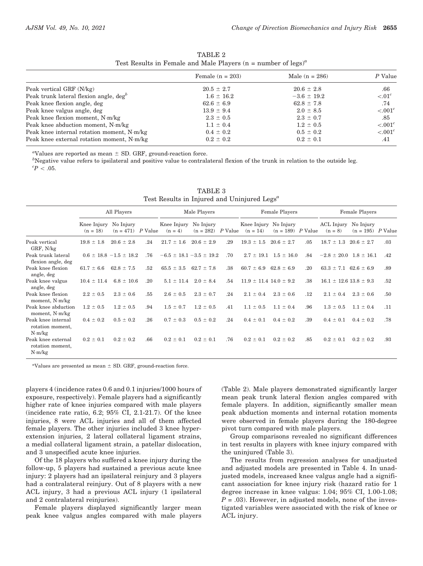| TABLE 2 |  |                                                                                                 |  |  |  |  |  |
|---------|--|-------------------------------------------------------------------------------------------------|--|--|--|--|--|
|         |  | Test Results in Female and Male Players ( $n = number of legs$ ) <sup><math>\alpha</math></sup> |  |  |  |  |  |

| Female $(n = 203)$ | Male $(n = 286)$ | P Value                      |
|--------------------|------------------|------------------------------|
| $20.5 \pm 2.7$     | $20.6 \pm 2.8$   | .66                          |
| $1.6 \pm 16.2$     | $-3.6 \pm 19.2$  | $\leq 01^c$                  |
| $62.6 \pm 6.9$     | $62.8 \pm 7.8$   | .74                          |
| $13.9 \pm 9.4$     | $2.0 \pm 8.5$    | $\leq 0.01$ <sup>c</sup>     |
| $2.3 \pm 0.5$      | $2.3 \pm 0.7$    | .85                          |
| $1.1 \pm 0.4$      | $1.2 \pm 0.5$    | $\leq 0.01$ <sup>c</sup>     |
| $0.4 \pm 0.2$      | $0.5 \pm 0.2$    | $\epsilon$ .001 <sup>c</sup> |
| $0.2 \pm 0.2$      | $0.2 \pm 0.1$    | .41                          |
|                    |                  |                              |

"Values are reported as mean  $\pm$  SD. GRF, ground-reaction force.

"Values are reported as mean ± SD. GRF, ground-reaction force.<br><sup>b</sup>Negative value refers to ipsilateral and positive value to contralateral flexion of the trunk in relation to the outside leg.  $\,^cP < .05$ .

|                                                  | All Players               |                               | Male Players |                                    |                | Female Players |                                     | Female Players                |     |                                |                                  |     |
|--------------------------------------------------|---------------------------|-------------------------------|--------------|------------------------------------|----------------|----------------|-------------------------------------|-------------------------------|-----|--------------------------------|----------------------------------|-----|
|                                                  | Knee Injury<br>$(n = 18)$ | No Injury<br>$(n = 471)$      | $P$ Value    | Knee Injury No Injury<br>$(n = 4)$ | $(n = 282)$    | P Value        | Knee Injury No Injury<br>$(n = 14)$ | $(n = 189)$ P Value           |     | ACL Injury<br>$(n = 8)$        | No Injury<br>$(n = 195)$ P Value |     |
| Peak vertical<br>GRF, N/kg                       | $19.8 \pm 1.8$            | $20.6 \pm 2.8$                | .24          | $21.7 \pm 1.6$                     | $20.6 \pm 2.9$ | .29            | $19.3 \pm 1.5$                      | $20.6 \pm 2.7$                | .05 | $18.7 \pm 1.3$ $20.6 \pm 2.7$  |                                  | .03 |
| Peak trunk lateral<br>flexion angle, deg         |                           | $0.6 \pm 18.8 - 1.5 \pm 18.2$ | .76          | $-6.5 \pm 18.1 - 3.5 \pm 19.2$     |                | .70            |                                     | $2.7 \pm 19.1$ $1.5 \pm 16.0$ | .84 | $-2.8 \pm 20.0$ 1.8 $\pm$ 16.1 |                                  | .42 |
| Peak knee flexion<br>angle, deg                  | $61.7 \pm 6.6$            | $62.8 \pm 7.5$                | .52          | $65.5 \pm 3.5$                     | $62.7 \pm 7.8$ | .38            | $60.7 \pm 6.9$                      | $62.8 \pm 6.9$                | .20 | $63.3 \pm 7.1$ $62.6 \pm 6.9$  |                                  | .89 |
| Peak knee valgus<br>angle, deg                   | $10.4 \pm 11.4$           | $6.8 \pm 10.6$                | .20          | $5.1 \pm 11.4$                     | $2.0 \pm 8.4$  | .54            | $11.9 \pm 11.4$ $14.0 \pm 9.2$      |                               | .38 | $16.1 \pm 12.6$ $13.8 \pm 9.3$ |                                  | .52 |
| Peak knee flexion<br>moment, $N·m/kg$            | $2.2 \pm 0.5$             | $2.3 \pm 0.6$                 | .55          | $2.6 \pm 0.5$                      | $2.3 \pm 0.7$  | .24            | $2.1 \pm 0.4$                       | $2.3 \pm 0.6$                 | .12 | $2.1 \pm 0.4$                  | $2.3 \pm 0.6$                    | .50 |
| Peak knee abduction<br>moment, N·m/kg            | $1.2 \pm 0.5$             | $1.2 \pm 0.5$                 | .94          | $1.5 \pm 0.7$                      | $1.2 \pm 0.5$  | .41            | $1.1 \pm 0.5$                       | $1.1 \pm 0.4$                 | .96 | $1.3 \pm 0.5$                  | $1.1 \pm 0.4$                    | .11 |
| Peak knee internal<br>rotation moment,<br>N·m/kg | $0.4 \pm 0.2$             | $0.5 \pm 0.2$                 | .26          | $0.7 \pm 0.3$                      | $0.5 \pm 0.2$  | .24            | $0.4 \pm 0.1$                       | $0.4 \pm 0.2$                 | .39 | $0.4 \pm 0.1$                  | $0.4 \pm 0.2$                    | .78 |
| Peak knee external<br>rotation moment,<br>N·m/kg | $0.2 \pm 0.1$             | $0.2 \pm 0.2$                 | .66          | $0.2 \pm 0.1$                      | $0.2 \pm 0.1$  | .76            | $0.2 \pm 0.1$                       | $0.2 \pm 0.2$                 | .85 | $0.2 \pm 0.1$                  | $0.2 \pm 0.2$                    | .93 |

TABLE 3 Test Results in Injured and Uninjured Legs<sup>a</sup>

 ${}^a$ Values are presented as mean  $\pm$  SD. GRF, ground-reaction force.

players 4 (incidence rates 0.6 and 0.1 injuries/1000 hours of exposure, respectively). Female players had a significantly higher rate of knee injuries compared with male players (incidence rate ratio, 6.2; 95% CI, 2.1-21.7). Of the knee injuries, 8 were ACL injuries and all of them affected female players. The other injuries included 3 knee hyperextension injuries, 2 lateral collateral ligament strains, a medial collateral ligament strain, a patellar dislocation, and 3 unspecified acute knee injuries.

Of the 18 players who suffered a knee injury during the follow-up, 5 players had sustained a previous acute knee injury: 2 players had an ipsilateral reinjury and 3 players had a contralateral reinjury. Out of 8 players with a new ACL injury, 3 had a previous ACL injury (1 ipsilateral and 2 contralateral reinjuries).

Female players displayed significantly larger mean peak knee valgus angles compared with male players (Table 2). Male players demonstrated significantly larger mean peak trunk lateral flexion angles compared with female players. In addition, significantly smaller mean peak abduction moments and internal rotation moments were observed in female players during the 180-degree pivot turn compared with male players.

Group comparisons revealed no significant differences in test results in players with knee injury compared with the uninjured (Table 3).

The results from regression analyses for unadjusted and adjusted models are presented in Table 4. In unadjusted models, increased knee valgus angle had a significant association for knee injury risk (hazard ratio for 1 degree increase in knee valgus: 1.04; 95% CI, 1.00-1.08;  $P = .03$ ). However, in adjusted models, none of the investigated variables were associated with the risk of knee or ACL injury.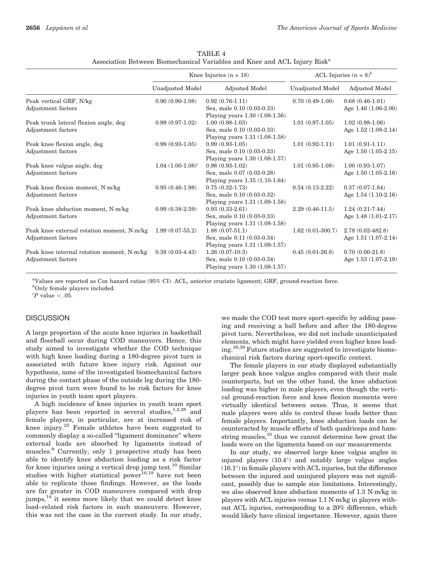|                                                                  |                        | Knee Injuries $(n = 18)$                                                              | ACL Injuries ( $n = 8$ ) <sup>b</sup> |                                           |  |
|------------------------------------------------------------------|------------------------|---------------------------------------------------------------------------------------|---------------------------------------|-------------------------------------------|--|
|                                                                  | Unadjusted Model       | Adjusted Model                                                                        | <b>Unadjusted Model</b>               | Adjusted Model                            |  |
| Peak vertical GRF, N/kg                                          | $0.90(0.90-1.08)$      | $0.92(0.76-1.11)$                                                                     | $0.70(0.49-1.00)$                     | $0.68(0.46-1.01)$                         |  |
| Adjustment factors                                               |                        | Sex, male 0.10 (0.03-0.33)                                                            |                                       | Age 1.46 (1.06-2.00)                      |  |
|                                                                  |                        | Playing years $1.30$ $(1.08-1.56)$                                                    |                                       |                                           |  |
| Peak trunk lateral flexion angle, deg                            | $0.99(0.97-1.02)$      | $1.00(0.98-1.03)$                                                                     | $1.01(0.97-1.05)$                     | $1.02(0.98-1.06)$                         |  |
| Adjustment factors                                               |                        | Sex, male 0.10 (0.03-0.33)                                                            |                                       | Age $1.52$ $(1.08-2.14)$                  |  |
|                                                                  |                        | Playing years $1.31(1.08-1.58)$                                                       |                                       |                                           |  |
| Peak knee flexion angle, deg                                     | $0.99(0.93-1.05)$      | $0.99(0.93-1.05)$                                                                     | $1.01(0.92 - 1.11)$                   | $1.01(0.91-1.11)$                         |  |
| Adjustment factors                                               |                        | Sex, male 0.10 (0.03-0.33)                                                            |                                       | Age $1.50(1.05-2.15)$                     |  |
|                                                                  |                        | Playing years $1.30$ $(1.08-1.57)$                                                    |                                       |                                           |  |
| Peak knee valgus angle, deg                                      | $1.04$ $(1.00-1.08)^c$ | $0.98(0.93-1.02)$                                                                     | $1.01(0.95-1.08)$                     | $1.00(0.93-1.07)$                         |  |
| Adjustment factors                                               |                        | Sex, male 0.07 (0.02-0.28)                                                            |                                       | Age $1.50(1.05-2.16)$                     |  |
|                                                                  |                        | Playing years $1.35(1.10-1.64)$                                                       |                                       |                                           |  |
| Peak knee flexion moment, N·m/kg                                 | $0.95(0.46-1.98)$      | $0.75(0.32 - 1.73)$                                                                   | $0.54(0.13-2.22)$                     | $0.37(0.07-1.84)$                         |  |
| Adjustment factors                                               |                        | Sex, male 0.10 (0.03-0.32)                                                            |                                       | Age $1.54$ $(1.10-2.16)$                  |  |
|                                                                  |                        | Playing years $1.31(1.09-1.58)$                                                       |                                       |                                           |  |
| Peak knee abduction moment, N·m/kg                               | $0.99(0.38-2.59)$      | $0.93(0.33-2.61)$                                                                     | $2.29(0.46-11.5)$                     | $1.24(0.21-7.44)$                         |  |
| Adjustment factors                                               |                        | Sex, male 0.10 (0.03-0.33)                                                            |                                       | Age $1.48(1.01-2.17)$                     |  |
|                                                                  |                        | Playing years 1.31 (1.08-1.58)                                                        |                                       |                                           |  |
| Peak knee external rotation moment, N·m/kg                       | $1.99(0.07-55.2)$      | $1.88(0.07-51.1)$                                                                     | $1.62(0.01-300.7)$                    | $2.78(0.02 - 482.8)$                      |  |
| Adjustment factors                                               |                        | Sex, male 0.11 (0.03-0.34)                                                            |                                       | Age $1.51(1.07-2.14)$                     |  |
|                                                                  |                        | Playing years $1.31 (1.09-1.57)$                                                      |                                       |                                           |  |
|                                                                  |                        |                                                                                       |                                       |                                           |  |
|                                                                  |                        |                                                                                       |                                       |                                           |  |
|                                                                  |                        |                                                                                       |                                       |                                           |  |
| Peak knee internal rotation moment, N·m/kg<br>Adjustment factors | $0.38(0.03-4.43)$      | $1.26(0.07-10.3)$<br>Sex, male 0.10 (0.03-0.34)<br>Playing years $1.30$ $(1.08-1.57)$ | $0.45(0.01-26.8)$                     | $0.70(0.00-21.8)$<br>Age 1.53 (1.07-2.19) |  |

TABLE 4 Association Between Biomechanical Variables and Knee and ACL Injury Risk<sup>a</sup>

a Values are reported as Cox hazard ratios (95% CI). ACL, anterior cruciate ligament; GRF, ground-reaction force.

b Only female players included.

 ${}^cP$  value  $\lt$  .05.

#### **DISCUSSION**

A large proportion of the acute knee injuries in basketball and floorball occur during COD maneuvers. Hence, this study aimed to investigate whether the COD technique with high knee loading during a 180-degree pivot turn is associated with future knee injury risk. Against our hypothesis, none of the investigated biomechanical factors during the contact phase of the outside leg during the 180 degree pivot turn were found to be risk factors for knee injuries in youth team sport players.

A high incidence of knee injuries in youth team sport players has been reported in several studies,<sup>1,2,28</sup> and female players, in particular, are at increased risk of knee injury.<sup>25</sup> Female athletes have been suggested to commonly display a so-called ''ligament dominance'' where external loads are absorbed by ligaments instead of muscles.<sup>9</sup> Currently, only 1 prospective study has been able to identify knee abduction loading as a risk factor for knee injuries using a vertical drop jump test.<sup>10</sup> Similar studies with higher statistical power<sup>16,19</sup> have not been able to replicate those findings. However, as the loads are far greater in COD maneuvers compared with drop jumps, $^{14}$  it seems more likely that we could detect knee load–related risk factors in such maneuvers. However, this was not the case in the current study. In our study,

we made the COD test more sport-specific by adding passing and receiving a ball before and after the 180-degree pivot turn. Nevertheless, we did not include unanticipated elements, which might have yielded even higher knee loading.38,39 Future studies are suggested to investigate biomechanical risk factors during sport-specific context.

The female players in our study displayed substantially larger peak knee valgus angles compared with their male counterparts, but on the other hand, the knee abduction loading was higher in male players, even though the vertical ground-reaction force and knee flexion moments were virtually identical between sexes. Thus, it seems that male players were able to control these loads better than female players. Importantly, knee abduction loads can be counteracted by muscle efforts of both quadriceps and hamstring muscles, $^{10}$  thus we cannot determine how great the loads were on the ligaments based on our measurements.

In our study, we observed large knee valgus angles in injured players  $(10.4^{\circ})$  and notably large valgus angles  $(16.1^{\circ})$  in female players with ACL injuries, but the difference between the injured and uninjured players was not significant, possibly due to sample size limitations. Interestingly, we also observed knee abduction moments of 1.3 N-m/kg in players with ACL injuries versus 1.1 N-m/kg in players without ACL injuries, corresponding to a 20% difference, which would likely have clinical importance. However, again there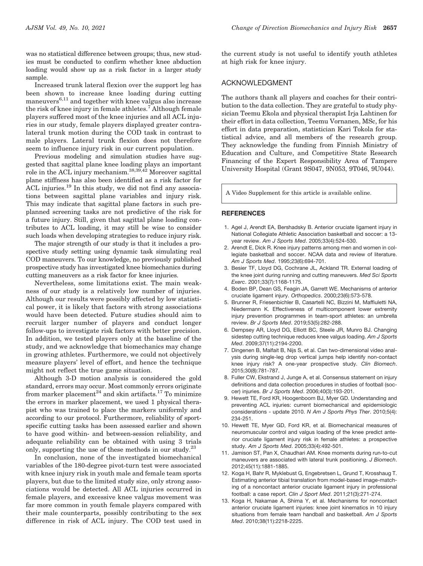was no statistical difference between groups; thus, new studies must be conducted to confirm whether knee abduction loading would show up as a risk factor in a larger study sample.

Increased trunk lateral flexion over the support leg has been shown to increase knee loading during cutting maneuvers $6,11$  and together with knee valgus also increase the risk of knee injury in female athletes.<sup>7</sup> Although female players suffered most of the knee injuries and all ACL injuries in our study, female players displayed greater contralateral trunk motion during the COD task in contrast to male players. Lateral trunk flexion does not therefore seem to influence injury risk in our current population.

Previous modeling and simulation studies have suggested that sagittal plane knee loading plays an important role in the ACL injury mechanism.38,39,42 Moreover sagittal plane stiffness has also been identified as a risk factor for ACL injuries.19 In this study, we did not find any associations between sagittal plane variables and injury risk. This may indicate that sagittal plane factors in such preplanned screening tasks are not predictive of the risk for a future injury. Still, given that sagittal plane loading contributes to ACL loading, it may still be wise to consider such loads when developing strategies to reduce injury risk.

The major strength of our study is that it includes a prospective study setting using dynamic task simulating real COD maneuvers. To our knowledge, no previously published prospective study has investigated knee biomechanics during cutting maneuvers as a risk factor for knee injuries.

Nevertheless, some limitations exist. The main weakness of our study is a relatively low number of injuries. Although our results were possibly affected by low statistical power, it is likely that factors with strong associations would have been detected. Future studies should aim to recruit larger number of players and conduct longer follow-ups to investigate risk factors with better precision. In addition, we tested players only at the baseline of the study, and we acknowledge that biomechanics may change in growing athletes. Furthermore, we could not objectively measure players' level of effort, and hence the technique might not reflect the true game situation.

Although 3-D motion analysis is considered the gold standard, errors may occur. Most commonly errors originate from marker placement<sup>24</sup> and skin artifacts.<sup>17</sup> To minimize the errors in marker placement, we used 1 physical therapist who was trained to place the markers uniformly and according to our protocol. Furthermore, reliability of sportspecific cutting tasks has been assessed earlier and shown to have good within- and between-session reliability, and adequate reliability can be obtained with using 3 trials only, supporting the use of these methods in our study.23

In conclusion, none of the investigated biomechanical variables of the 180-degree pivot-turn test were associated with knee injury risk in youth male and female team sports players, but due to the limited study size, only strong associations would be detected. All ACL injuries occurred in female players, and excessive knee valgus movement was far more common in youth female players compared with their male counterparts, possibly contributing to the sex difference in risk of ACL injury. The COD test used in

the current study is not useful to identify youth athletes at high risk for knee injury.

#### ACKNOWLEDGMENT

The authors thank all players and coaches for their contribution to the data collection. They are grateful to study physician Teemu Ekola and physical therapist Irja Lahtinen for their effort in data collection, Teemu Vornanen, MSc, for his effort in data preparation, statistician Kari Tokola for statistical advice, and all members of the research group. They acknowledge the funding from Finnish Ministry of Education and Culture, and Competitive State Research Financing of the Expert Responsibility Area of Tampere University Hospital (Grant 9S047, 9N053, 9T046, 9U044).

A Video Supplement for this article is available online.

#### **REFERENCES**

- 1. Agel J, Arendt EA, Bershadsky B. Anterior cruciate ligament injury in National Collegiate Athletic Association basketball and soccer: a 13 year review. *Am J Sports Med*. 2005;33(4):524-530.
- 2. Arendt E, Dick R. Knee injury patterns among men and women in collegiate basketball and soccer. NCAA data and review of literature. *Am J Sports Med*. 1995;23(6):694-701.
- 3. Besier TF, Lloyd DG, Cochrane JL, Ackland TR. External loading of the knee joint during running and cutting maneuvers. *Med Sci Sports Exerc*. 2001;33(7):1168-1175.
- 4. Boden BP, Dean GS, Feagin JA, Garrett WE. Mechanisms of anterior cruciate ligament injury. *Orthopedics*. 2000;23(6):573-578.
- 5. Brunner R, Friesenbichler B, Casartelli NC, Bizzini M, Maffiuletti NA, Niedermann K. Effectiveness of multicomponent lower extremity injury prevention programmes in team-sport athletes: an umbrella review. *Br J Sports Med*. 2019;53(5):282-288.
- 6. Dempsey AR, Lloyd DG, Elliott BC, Steele JR, Munro BJ. Changing sidestep cutting technique reduces knee valgus loading. *Am J Sports Med*. 2009;37(11):2194-2200.
- 7. Dingenen B, Malfait B, Nijs S, et al. Can two-dimensional video analysis during single-leg drop vertical jumps help identify non-contact knee injury risk? A one-year prospective study. *Clin Biomech*. 2015;30(8):781-787.
- 8. Fuller CW, Ekstrand J, Junge A, et al. Consensus statement on injury definitions and data collection procedures in studies of football (soccer) injuries. *Br J Sports Med*. 2006;40(3):193-201.
- 9. Hewett TE, Ford KR, Hoogenboom BJ, Myer GD. Understanding and preventing ACL injuries: current biomechanical and epidemiologic considerations - update 2010. *N Am J Sports Phys Ther*. 2010;5(4): 234-251.
- 10. Hewett TE, Myer GD, Ford KR, et al. Biomechanical measures of neuromuscular control and valgus loading of the knee predict anterior cruciate ligament injury risk in female athletes: a prospective study. *Am J Sports Med*. 2005;33(4):492-501.
- 11. Jamison ST, Pan X, Chaudhari AM. Knee moments during run-to-cut maneuvers are associated with lateral trunk positioning. *J Biomech*. 2012;45(11):1881-1885.
- 12. Koga H, Bahr R, Myklebust G, Engebretsen L, Grund T, Krosshaug T. Estimating anterior tibial translation from model-based image-matching of a noncontact anterior cruciate ligament injury in professional football: a case report. *Clin J Sport Med*. 2011;21(3):271-274.
- 13. Koga H, Nakamae A, Shima Y, et al. Mechanisms for noncontact anterior cruciate ligament injuries: knee joint kinematics in 10 injury situations from female team handball and basketball. *Am J Sports Med*. 2010;38(11):2218-2225.